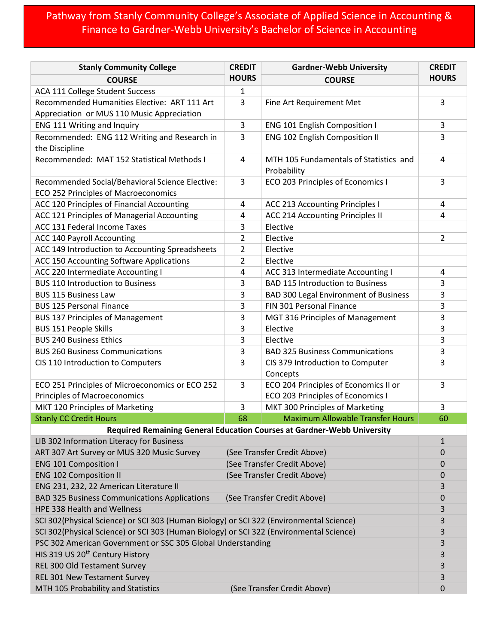## Pathway from Stanly Community College's Associate of Applied Science in Accounting & Finance to Gardner-Webb University's Bachelor of Science in Accounting

| <b>Stanly Community College</b>                                                         | <b>CREDIT</b>                                              | <b>Gardner-Webb University</b>                                             | <b>CREDIT</b>               |  |
|-----------------------------------------------------------------------------------------|------------------------------------------------------------|----------------------------------------------------------------------------|-----------------------------|--|
| <b>COURSE</b>                                                                           | <b>HOURS</b>                                               | <b>COURSE</b>                                                              | <b>HOURS</b>                |  |
| ACA 111 College Student Success                                                         | $\mathbf{1}$                                               |                                                                            |                             |  |
| Recommended Humanities Elective: ART 111 Art                                            | $\overline{3}$                                             | Fine Art Requirement Met                                                   | 3                           |  |
| Appreciation or MUS 110 Music Appreciation                                              |                                                            |                                                                            |                             |  |
| ENG 111 Writing and Inquiry                                                             | 3                                                          | ENG 101 English Composition I                                              | 3                           |  |
| Recommended: ENG 112 Writing and Research in                                            | 3                                                          | ENG 102 English Composition II                                             | 3                           |  |
| the Discipline                                                                          |                                                            |                                                                            |                             |  |
| Recommended: MAT 152 Statistical Methods I                                              | 4                                                          | MTH 105 Fundamentals of Statistics and<br>Probability                      | 4                           |  |
| Recommended Social/Behavioral Science Elective:                                         | 3                                                          | ECO 203 Principles of Economics I                                          | 3                           |  |
| ECO 252 Principles of Macroeconomics                                                    |                                                            |                                                                            |                             |  |
| ACC 120 Principles of Financial Accounting                                              | 4                                                          | <b>ACC 213 Accounting Principles I</b>                                     | 4                           |  |
| ACC 121 Principles of Managerial Accounting                                             | 4                                                          | ACC 214 Accounting Principles II                                           | 4                           |  |
| ACC 131 Federal Income Taxes                                                            | 3                                                          | Elective                                                                   |                             |  |
| <b>ACC 140 Payroll Accounting</b>                                                       | $\overline{2}$                                             | Elective                                                                   | $\overline{2}$              |  |
| ACC 149 Introduction to Accounting Spreadsheets                                         | 2                                                          | Elective                                                                   |                             |  |
| ACC 150 Accounting Software Applications                                                | $\overline{2}$                                             | Elective                                                                   |                             |  |
| ACC 220 Intermediate Accounting I                                                       | 4                                                          | ACC 313 Intermediate Accounting I                                          | 4                           |  |
| <b>BUS 110 Introduction to Business</b>                                                 | 3                                                          | <b>BAD 115 Introduction to Business</b>                                    | 3                           |  |
| <b>BUS 115 Business Law</b>                                                             | 3                                                          | <b>BAD 300 Legal Environment of Business</b>                               | 3                           |  |
| <b>BUS 125 Personal Finance</b>                                                         | 3                                                          | FIN 301 Personal Finance                                                   | 3                           |  |
| <b>BUS 137 Principles of Management</b><br><b>BUS 151 People Skills</b>                 | 3<br>3                                                     | MGT 316 Principles of Management<br>Elective                               | 3<br>3                      |  |
| <b>BUS 240 Business Ethics</b>                                                          | 3                                                          | Elective                                                                   | 3                           |  |
| <b>BUS 260 Business Communications</b>                                                  | 3                                                          | <b>BAD 325 Business Communications</b>                                     | 3                           |  |
| CIS 110 Introduction to Computers                                                       | 3                                                          | CIS 379 Introduction to Computer                                           | 3                           |  |
|                                                                                         |                                                            | Concepts                                                                   |                             |  |
| ECO 251 Principles of Microeconomics or ECO 252                                         | 3                                                          | ECO 204 Principles of Economics II or                                      | 3                           |  |
| <b>Principles of Macroeconomics</b>                                                     |                                                            | ECO 203 Principles of Economics I                                          |                             |  |
| MKT 120 Principles of Marketing                                                         | 3                                                          | MKT 300 Principles of Marketing<br><b>Maximum Allowable Transfer Hours</b> | 3                           |  |
| <b>Stanly CC Credit Hours</b>                                                           | 68                                                         |                                                                            | 60                          |  |
| Required Remaining General Education Courses at Gardner-Webb University                 |                                                            |                                                                            |                             |  |
| LIB 302 Information Literacy for Business<br>ART 307 Art Survey or MUS 320 Music Survey |                                                            |                                                                            | $\mathbf{1}$<br>$\mathbf 0$ |  |
| <b>ENG 101 Composition I</b>                                                            | (See Transfer Credit Above)                                |                                                                            | 0                           |  |
| <b>ENG 102 Composition II</b>                                                           | (See Transfer Credit Above)<br>(See Transfer Credit Above) |                                                                            | $\mathbf 0$                 |  |
| ENG 231, 232, 22 American Literature II                                                 |                                                            |                                                                            |                             |  |
| <b>BAD 325 Business Communications Applications</b>                                     | (See Transfer Credit Above)                                |                                                                            | 3<br>$\boldsymbol{0}$       |  |
| HPE 338 Health and Wellness                                                             |                                                            |                                                                            |                             |  |
| SCI 302(Physical Science) or SCI 303 (Human Biology) or SCI 322 (Environmental Science) |                                                            |                                                                            |                             |  |
| SCI 302(Physical Science) or SCI 303 (Human Biology) or SCI 322 (Environmental Science) |                                                            |                                                                            |                             |  |
| PSC 302 American Government or SSC 305 Global Understanding                             |                                                            |                                                                            |                             |  |
| HIS 319 US 20 <sup>th</sup> Century History                                             |                                                            |                                                                            | 3<br>3                      |  |
| REL 300 Old Testament Survey                                                            |                                                            |                                                                            | 3                           |  |
| REL 301 New Testament Survey                                                            |                                                            |                                                                            | 3                           |  |
| MTH 105 Probability and Statistics                                                      |                                                            | (See Transfer Credit Above)                                                | $\mathbf 0$                 |  |